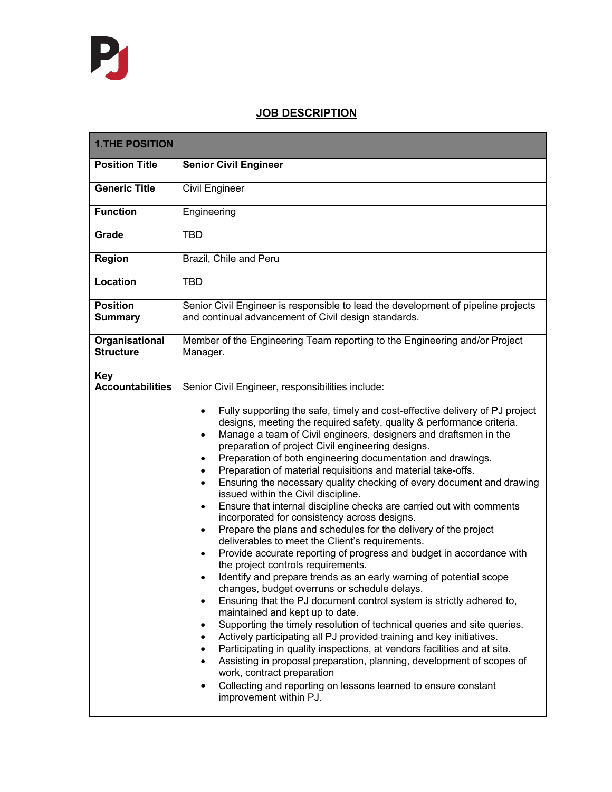## **JOB DESCRIPTION**

| <b>1.THE POSITION</b>                 |  |
|---------------------------------------|--|
| <b>Position Title</b>                 |  |
| <b>Generic Title</b>                  |  |
| <b>Function</b>                       |  |
| Grade                                 |  |
| <b>Region</b>                         |  |
| Location                              |  |
| <b>Position</b><br><b>Summary</b>     |  |
| Organisational<br><b>Structure</b>    |  |
| <b>Key</b><br><b>Accountabilities</b> |  |